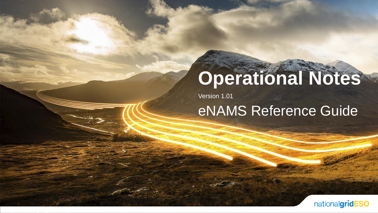# **Operational Notes**

Version 1.01

eNAMS Reference Guide

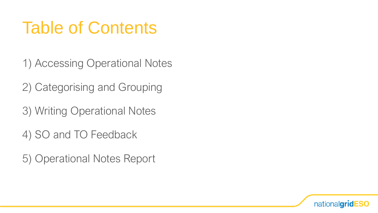## Table of Contents

- 1) Accessing Operational Notes
- 2) Categorising and Grouping
- 3) Writing Operational Notes
- 4) SO and TO Feedback
- 5) Operational Notes Report

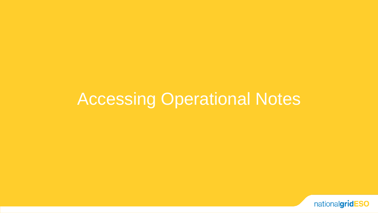### Accessing Operational Notes

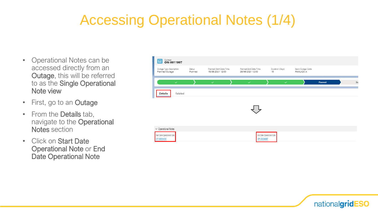#### Accessing Operational Notes (1/4)

- Operational Notes can be accessed directly from an Outage, this will be referred to as the Single Operational Note view
- First, go to an **Outage**
- From the Details tab, navigate to the Operational Notes section
- Click on Start Date Operational Note or End Date Operational Note

| $_{\text{Outage}}^{\text{Outage}}$ ON-0011907<br>므      |                   |                                             |                                           |                           |                                |         |     |
|---------------------------------------------------------|-------------------|---------------------------------------------|-------------------------------------------|---------------------------|--------------------------------|---------|-----|
| Outage Type Description<br>Planned Outage               | Status<br>Planned | Planned Start Date/Time<br>15/06/2021 12:00 | Planned End Date/Time<br>29/06/2021 12:00 | Duration (Days)<br>15     | Basic Outage Code<br>FAWLX20-A |         |     |
| $\checkmark$                                            |                   | $\checkmark$                                | $\checkmark$                              | $\checkmark$              |                                | Planned | Sta |
| Related<br>Details                                      |                   |                                             |                                           |                           |                                |         |     |
|                                                         |                   |                                             |                                           |                           |                                |         |     |
|                                                         |                   |                                             |                                           |                           |                                |         |     |
|                                                         |                   |                                             |                                           |                           |                                |         |     |
| $\vee$ Operational Notes<br>Start Date Operational Note |                   |                                             |                                           | End Date Operational Note |                                |         |     |
| OP-00004086                                             |                   |                                             | OP-00004087                               |                           |                                |         |     |

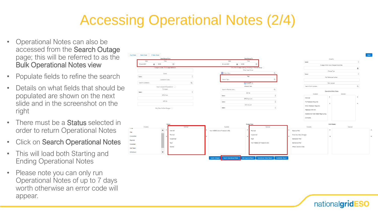#### Accessing Operational Notes (2/4)

- Operational Notes can also be accessed from the Search Outage page; this will be referred to as the Bulk Operational Notes view
- Populate fields to refine the search
- Details on what fields that should be populated are shown on the next slide and in the screenshot on the right
- There must be a **Status** selected in order to return Operational Notes
- Click on Search Operational Notes
- This will load both Starting and Ending Operational Notes
- Please note you can only run Operational Notes of up to 7 days worth otherwise an error code will appear.



nationalgridESO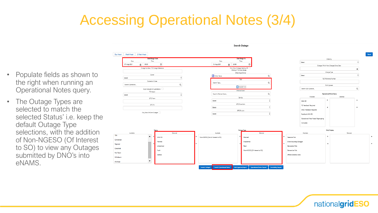#### Accessing Operational Notes (3/4)

|                                |                                                                 | Search Outage                                                                                                                                          |                                       |
|--------------------------------|-----------------------------------------------------------------|--------------------------------------------------------------------------------------------------------------------------------------------------------|---------------------------------------|
|                                | Day Ahead   Week Ahead   2 Week Ahead<br><b>Date Range From</b> | Date Range To                                                                                                                                          |                                       |
|                                | Time<br>Date                                                    | Time<br>Date                                                                                                                                           | Order By<br>Select                    |
|                                | 00:00<br>07-Aug-2021                                            | 13-Aug-2021<br>■ 23:59                                                                                                                                 | Outages Which Have Changed Since Date |
|                                | Outage Number / TO Outage Reference                             | Only Show Outages Starting OR                                                                                                                          |                                       |
|                                |                                                                 | Ending In The Date Range<br>Other Asset Owner                                                                                                          | Change Type                           |
| • Populate fields as shown to  | Owner                                                           | <b>Fr</b> Enter Value                                                                                                                                  | Select                                |
|                                | Select                                                          | Tags                                                                                                                                                   | PLD Reference Number                  |
| the right when running an      | Substation Codes                                                | Search Tags                                                                                                                                            |                                       |
|                                | Search Substation.                                              | <b>D</b> PLSCOT X                                                                                                                                      | Bulk Uploads                          |
| Operational Notes query.       | Must Include All Substations                                    | Affected Users                                                                                                                                         | Search Bulk Uploads.,                 |
|                                | TO Impact<br>Select                                             | Search Affected Users                                                                                                                                  | <b>Operational Note Status</b>        |
|                                | ERTS From                                                       | Service                                                                                                                                                | Selected<br>Available                 |
| • The Outage Types are         |                                                                 | Select                                                                                                                                                 | With SO                               |
|                                | ERTS To                                                         | ERTS From Unit                                                                                                                                         | TO Feedback Required                  |
| selected to match the          |                                                                 | Select                                                                                                                                                 | <b>ENCC Feedback Required</b>         |
|                                | Only Show OnCom Outages                                         | ERTS To Unit                                                                                                                                           |                                       |
|                                |                                                                 | Select                                                                                                                                                 | Feedback With SO                      |
| selected Status' i.e. keep the |                                                                 |                                                                                                                                                        | Operational Note Needs Regrouping     |
|                                |                                                                 |                                                                                                                                                        | Complete                              |
| default Outage Type            |                                                                 |                                                                                                                                                        |                                       |
|                                |                                                                 | Outage Type                                                                                                                                            | Only Display                          |
| selections, with the addition  | Available<br>Selected<br><b>TBA</b>                             | Available<br>Selected                                                                                                                                  | Available<br>Selected                 |
|                                | $\blacktriangle$<br>With SO                                     | Non-NGESO (Not of Interest to SO)<br>Planned                                                                                                           | Seasonal Risk                         |
| of Non-NGESO (Of Interest      | Completed<br>Planned                                            | Unplanned                                                                                                                                              | Cross-boundary Outages                |
|                                | Rejected<br>Unplanned                                           | Fault                                                                                                                                                  | Generation Risk                       |
| to SO) to view any Outages     | Cancelled                                                       |                                                                                                                                                        |                                       |
|                                | Fault<br>Not Taken                                              | Non-NGESO (Of Interest to SO)                                                                                                                          | Demand at Risk                        |
| submitted by DNO's into        | Started                                                         |                                                                                                                                                        | Affects Sensitive Sites               |
|                                | Withdrawn                                                       |                                                                                                                                                        |                                       |
| eNAMS.                         | Archived                                                        |                                                                                                                                                        |                                       |
|                                |                                                                 | <b>Bulk Approve/Reject</b><br><b>Search Operational Notes</b><br><b>Operational Notes Report</b><br><b>Availability Repor</b><br><b>Search Outages</b> |                                       |
|                                |                                                                 |                                                                                                                                                        |                                       |

nationalgridESO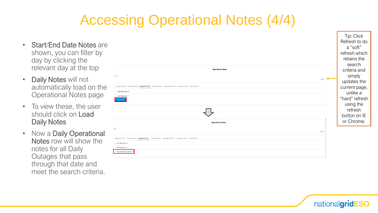#### Accessing Operational Notes (4/4)

- Start/End Date Notes are shown, you can filter by day by clicking the relevant day at the top
- Daily Notes will not automatically load on the Operational Notes page
- To view these, the user should click on Load Daily Notes
- Now a Daily Operational Notes row will show the notes for all Daily Outages that pass through that date and meet the search criteria.

|                                                                                                                                       | ີ<br>----<br>refresh which<br>retains the<br>search |
|---------------------------------------------------------------------------------------------------------------------------------------|-----------------------------------------------------|
| <b>Operational Notes</b>                                                                                                              | criteria and                                        |
| Back                                                                                                                                  | simply                                              |
| Refresh                                                                                                                               | updates the                                         |
| Saturday 2021-06-19 Sunday 2021-06-20 Monday 2021-06-21 Tuesday 2021-06-22 Wednesday 2021-06-23 Thursday 2021-06-24 Friday 2021-06-25 | current page,                                       |
| > Start Date Note -5                                                                                                                  | unlike a                                            |
| > End Date Note -2<br>Load Daily Notes                                                                                                | "hard" refresh                                      |
|                                                                                                                                       | using the                                           |
|                                                                                                                                       | refresh<br>button on IE                             |
| <b>Operational Notes</b>                                                                                                              | or Chrome.                                          |
| Back<br>Refresh                                                                                                                       |                                                     |
| Saturday 2021-06-19 Sunday 2021-06-20 Monday 2021-06-21 Tuesday 2021-06-22 Wednesday 2021-06-23 Thursday 2021-06-24 Friday 2021-06-25 |                                                     |
| > Start Date Note -5                                                                                                                  |                                                     |
| > End Date Note -2                                                                                                                    |                                                     |
| > Daily Operational Notes -67                                                                                                         |                                                     |



Tip: Click Refresh to do a "soft"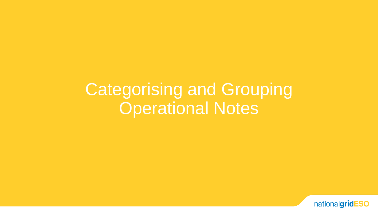Categorising and Grouping **Operational Notes** 

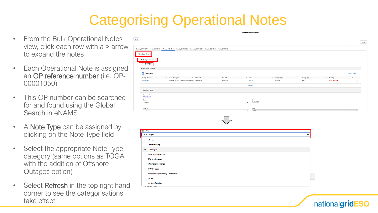#### Categorising Operational Notes

- From the Bulk Operational Notes view, click each row with a > arrow to expand the notes
- Each Operational Note is assigned an OP reference number (i.e. OP-00001050)
- This OP number can be searched for and found using the Global Search in eNAMS
- A **Note Type** can be assigned by clicking on the Note Type field
- Select the appropriate Note Type category (same options as TOGA with the addition of Offshore Outages option)
- Select **Refresh** in the top right hand corner to see the categorisations take effect



**Operational Notes** 

| Note Type                              |   |
|----------------------------------------|---|
| TO Outages                             | - |
| --None--                               |   |
| Commissioning                          |   |
| $\checkmark$ TO Outages                |   |
| <b>Protection Depletions</b>           |   |
| Offshore Outages                       |   |
| <b>Information Bookings</b>            |   |
| <b>DNO Outages</b>                     |   |
| Protection Depletions By Third Parties |   |
| <b>IET Tests</b>                       |   |
| No Note Required                       |   |

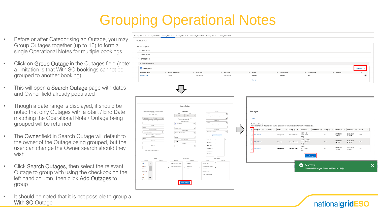#### Grouping Operational Notes

- Before or after Categorising an Outage, you may Group Outages together (up to 10) to form a single Operational Notes for multiple bookings.
- Click on Group Outage in the Outages field (note: a limitation is that With SO bookings cannot be grouped to another booking)
- This will open a **Search Outage** page with dates and Owner field already populated
- Though a date range is displayed, it should be noted that only Outages with a Start / End Date matching the Operational Note / Outage being grouped will be returned
- The Owner field in Search Outage will default to the owner of the Outage being grouped, but the user can change the Owner search should they wish
- Click Search Outages, then select the relevant Outage to group with using the checkbox on the left hand column, then click Add Outages to group
- It should be noted that it is not possible to group a With SO Outage

|  |  | Saturday 2021-06-19 Sunday 2021-06-20 Monday 2021-06-21 Tuesday 2021-06-22 Vednesday 2021-06-23 Thursday 2021-06-24 Friday 2021-06-25 |  |
|--|--|---------------------------------------------------------------------------------------------------------------------------------------|--|

| $\vee$ Circuit Description<br>$\vee$ Start Date<br>21/06/2021<br>Testing                                                                                                                                                                                                                                | $\vee$ End Date<br>23/06/2021                                                                                                                                                                                                                |                                                                                       | $\smallsmile$ Status<br>Planned<br>View All | $\vee$ Outage Type<br>Planned | $\vee$ Change Type<br>Add                                          | $\vee$ Warning                                                                                                                                                                                                                                     |                                      | Group Outage<br>$\checkmark$<br>$\left\vert \mathbf{v}\right\vert$ |                                                                                                                                         |
|---------------------------------------------------------------------------------------------------------------------------------------------------------------------------------------------------------------------------------------------------------------------------------------------------------|----------------------------------------------------------------------------------------------------------------------------------------------------------------------------------------------------------------------------------------------|---------------------------------------------------------------------------------------|---------------------------------------------|-------------------------------|--------------------------------------------------------------------|----------------------------------------------------------------------------------------------------------------------------------------------------------------------------------------------------------------------------------------------------|--------------------------------------|--------------------------------------------------------------------|-----------------------------------------------------------------------------------------------------------------------------------------|
|                                                                                                                                                                                                                                                                                                         |                                                                                                                                                                                                                                              |                                                                                       |                                             |                               |                                                                    |                                                                                                                                                                                                                                                    |                                      |                                                                    |                                                                                                                                         |
|                                                                                                                                                                                                                                                                                                         |                                                                                                                                                                                                                                              |                                                                                       |                                             |                               |                                                                    |                                                                                                                                                                                                                                                    |                                      |                                                                    |                                                                                                                                         |
|                                                                                                                                                                                                                                                                                                         |                                                                                                                                                                                                                                              |                                                                                       |                                             |                               |                                                                    |                                                                                                                                                                                                                                                    |                                      |                                                                    |                                                                                                                                         |
|                                                                                                                                                                                                                                                                                                         |                                                                                                                                                                                                                                              |                                                                                       |                                             |                               |                                                                    |                                                                                                                                                                                                                                                    |                                      |                                                                    |                                                                                                                                         |
|                                                                                                                                                                                                                                                                                                         |                                                                                                                                                                                                                                              |                                                                                       |                                             |                               |                                                                    |                                                                                                                                                                                                                                                    |                                      |                                                                    |                                                                                                                                         |
|                                                                                                                                                                                                                                                                                                         |                                                                                                                                                                                                                                              |                                                                                       |                                             |                               |                                                                    |                                                                                                                                                                                                                                                    |                                      |                                                                    |                                                                                                                                         |
|                                                                                                                                                                                                                                                                                                         |                                                                                                                                                                                                                                              |                                                                                       |                                             |                               |                                                                    |                                                                                                                                                                                                                                                    |                                      |                                                                    |                                                                                                                                         |
|                                                                                                                                                                                                                                                                                                         |                                                                                                                                                                                                                                              |                                                                                       |                                             |                               |                                                                    |                                                                                                                                                                                                                                                    |                                      |                                                                    |                                                                                                                                         |
|                                                                                                                                                                                                                                                                                                         |                                                                                                                                                                                                                                              |                                                                                       |                                             |                               |                                                                    |                                                                                                                                                                                                                                                    |                                      |                                                                    |                                                                                                                                         |
| Search Outage<br>Date Range To<br>Terra<br>Date<br>22-Jun-2021<br>$= 0000$<br>$\circ$<br>Only Show Outuges Starting OR [<br>Ending In The Date Range<br>Other Axust Owner<br><sup>2</sup> Enter Value<br>$\alpha$<br>Tests<br>Search Tags.<br>Q<br>Affected Users<br>Search Affected Lisers<br>$\alpha$ | Croler By<br>$\ddot{\phantom{a}}$<br>Select<br>Outages Which Have Changed Since Date<br>$\overline{\mathbf{m}}$<br>Change Type<br>$\ddot{\phantom{1}}$<br>Select<br>PLD Reference Number<br>Bulk Uploads<br>$\alpha$<br>Search Bulk Upleads. |                                                                                       | Outages<br>Back<br>Total 3 records found    |                               |                                                                    |                                                                                                                                                                                                                                                    |                                      |                                                                    | $\checkmark$                                                                                                                            |
| Service<br>$\div$<br>Select<br>ERIS From Unit                                                                                                                                                                                                                                                           | Available<br>Selected<br>With SO                                                                                                                                                                                                             |                                                                                       |                                             |                               | (BN1)<br>Beauly - Fort Au-                                         | 11:00:00<br>21/06/2021                                                                                                                                                                                                                             | 11:00:00<br>23/06/2021               |                                                                    |                                                                                                                                         |
| ERTS To Unit                                                                                                                                                                                                                                                                                            |                                                                                                                                                                                                                                              |                                                                                       |                                             |                               | (BG1)                                                              |                                                                                                                                                                                                                                                    |                                      |                                                                    |                                                                                                                                         |
|                                                                                                                                                                                                                                                                                                         | Feedback.                                                                                                                                                                                                                                    |                                                                                       | ON-0011885                                  | Completed                     | 400/275kV SGT3                                                     | 21/06/2021<br>Add<br>11:00:00                                                                                                                                                                                                                      | 29/06/2021<br>11:00:00               | SHETL                                                              |                                                                                                                                         |
|                                                                                                                                                                                                                                                                                                         | Complete                                                                                                                                                                                                                                     |                                                                                       |                                             |                               |                                                                    |                                                                                                                                                                                                                                                    |                                      |                                                                    |                                                                                                                                         |
|                                                                                                                                                                                                                                                                                                         |                                                                                                                                                                                                                                              |                                                                                       |                                             |                               | <b>Add Outages</b>                                                 |                                                                                                                                                                                                                                                    |                                      |                                                                    |                                                                                                                                         |
| Available<br>Salartari<br>$\blacktriangle$<br>Non-NGESD (Of Inter<br>Planned<br>Non-NGESD (Not of L.<br>Unplanned<br>Fault                                                                                                                                                                              | Available<br>Salarted<br>٠<br>Seasonal Risk<br>Cross boundary Outa.<br>$\overline{\phantom{a}}$<br>Generation Risk<br>Domand at Risk<br>Affects Sensitive Sites                                                                              |                                                                                       |                                             |                               | Success!<br>Ø                                                      |                                                                                                                                                                                                                                                    |                                      |                                                                    |                                                                                                                                         |
|                                                                                                                                                                                                                                                                                                         | $\div$<br>Select<br>$\vert \cdot \vert$<br>Select<br>Outage Type<br><b>Search Outage</b>                                                                                                                                                     | <b>Operational Note Status</b><br>TD Foodb<br>ENCC Fee.<br>Operation.<br>Only Display |                                             | ON-0011881<br>ON-0012205      | Outage N $\vee$   TO Outag $\vee$   Status<br>Completed<br>Planned | Please note a maximum of 200 records is returned - please consider using more specific filter criteria if this is exceeded.<br>Beauly - Fas-<br>Planned Outage nakyle 275kV<br>gustus 400kV<br>Planned Outage<br>Beauly<br>Planned Outage<br>& SR3 | 21/06/2021<br>Add<br>Add<br>11:00:00 | 23/06/2021<br>11:00:00<br>Selected Outages Grouped Successfully!   | $\vee$ Outage Ty $\vee$ Circuit De $\vee$ Additional $\vee$ Change Ty $\vee$ Planned St $\vee$ Planned E $\vee$ Owner<br>SHETL<br>SHETL |

nationalgridESO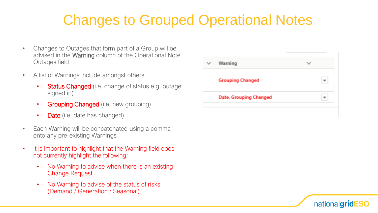#### Changes to Grouped Operational Notes

- Changes to Outages that form part of a Group will be advised in the Warning column of the Operational Note Outages field
- A list of Warnings include amongst others:
	- Status Changed (i.e. change of status e.g. outage signed in)
	- Grouping Changed (i.e. new grouping)
	- Date (i.e. date has changed)
- Each Warning will be concatenated using a comma onto any pre-existing Warnings
- It is important to highlight that the Warning field does not currently highlight the following:
	- No Warning to advise when there is an existing Change Request
	- No Warning to advise of the status of risks (Demand / Generation / Seasonal)

| Warning                 |  |
|-------------------------|--|
| <b>Grouping Changed</b> |  |
| Date, Grouping Changed  |  |
|                         |  |

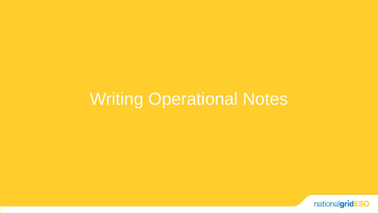### Writing Operational Notes

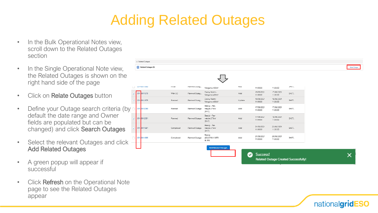#### Adding Related Outages

- In the Bulk Operational Notes view, scroll down to the Related Outages section
- In the Single Operational Note view, the Related Outages is shown on the right hand side of the page
- Click on Relate Outages button
- Define your Outage search criteria (by default the date range and Owner fields are populated but can be changed) and click Search Outages
- Select the relevant Outages and click Add Related Outages
- A green popup will appear if successful
- Click Refresh on the Operational Note page to see the Related Outages appear

| $\vee$ Related Outages |           |                |                                        |        |                        |                        |              |                |
|------------------------|-----------|----------------|----------------------------------------|--------|------------------------|------------------------|--------------|----------------|
| Related Outages (0)    |           |                |                                        |        |                        |                        |              | Relate Outages |
|                        |           |                |                                        |        |                        |                        |              |                |
| UIV-UUTTOOU<br>$\Box$  | muar      | Planned Outag  | Melgarve 400kV                         | muu    | 11:00:00               | 11:00:00               | <b>SMETL</b> |                |
| ON-0011879<br>◡        | With SO   | Planned Outag  | Denny North -<br>Melgarve 400kV        | Add    | 15/06/2021<br>11:00:00 | 17/06/2021<br>11:00:00 | SHETL        |                |
| ON 0011875<br>v        | Planned   | Planned Outag  | Denny North -<br>Melgarve 400kV        | Update | 16/06/2021<br>11:00:00 | 18/06/2021<br>11:00:00 | SHETL        |                |
| ON-0012080             | Planned   | Planned Outage | Beauly - Fas-<br>nakyle 275kV<br>(BN1) | Add    | 17/06/2021<br>11:00:00 | 17/06/2021<br>11:00:00 | SHETL        |                |
| ON-0012081<br>v        | Planned   | Planned Outage | Beauly - Fas-<br>nakyle 275kV<br>(BN1) | Add    | 17/06/2021<br>11:00:00 | 18/06/2021<br>11:00:00 | SHETL        |                |
| ON-0011881<br>v        | Completed | Planned Outage | Beauly - Fas-<br>nakyle 275kV<br>(BN1) | Add    | 21/06/2021<br>11:00:00 | 23/06/2021<br>11:00:00 | SHETL        |                |
| ON-0011885             | Completed | Planned Outage | Beauly<br>400/275kV SGT3<br>& SR3      | Add    | 21/06/2021<br>11:00:00 | 29/06/2021<br>11:00:00 | SHETL        |                |
|                        |           |                | <b>Add Related Outages</b>             |        |                        |                        |              |                |

Related Outage Created Successfully!

nationalgridESO

Success!

✓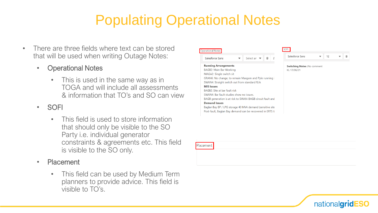#### Populating Operational Notes

- There are three fields where text can be stored that will be used when writing Outage Notes:
	- Operational Notes
		- This is used in the same way as in TOGA and will include all assessments & information that TO's and SO can view
	- SOFI
		- This field is used to store information that should only be visible to the SO Party i.e. individual generator constraints & agreements etc. This field is visible to the SO only.
	- Placement
		- This field can be used by Medium Term planners to provide advice. This field is visible to TO's.



Placement



 $\blacktriangledown$  12

 $\mathbb{R}$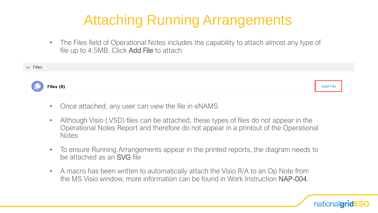#### Attaching Running Arrangements

• The Files field of Operational Notes includes the capability to attach almost any type of file up to 4.5MB. Click Add File to attach



- Once attached, any user can view the file in eNAMS
- Although Visio (.VSD) files can be attached, these types of files do not appear in the Operational Notes Report and therefore do not appear in a printout of the Operational **Notes**
- To ensure Running Arrangements appear in the printed reports, the diagram needs to be attached as an SVG file
- A macro has been written to automatically attach the Visio R/A to an Op Note from the MS Visio window, more information can be found in Work Instruction NAP-004.

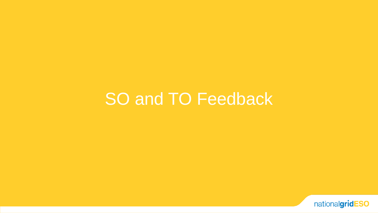#### SO and TO Feedback

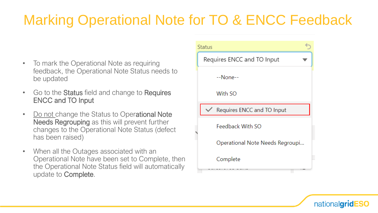#### Marking Operational Note for TO & ENCC Feedback

- To mark the Operational Note as requiring feedback, the Operational Note Status needs to be updated
- Go to the **Status** field and change to **Requires** ENCC and TO Input
- Do not change the Status to Operational Note Needs Regrouping as this will prevent further changes to the Operational Note Status (defect has been raised)
- When all the Outages associated with an Operational Note have been set to Complete, then the Operational Note Status field will automatically update to Complete.



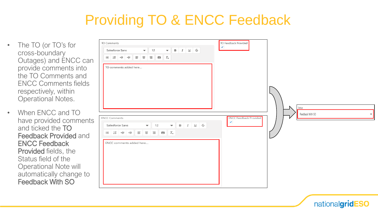#### Providing TO & ENCC Feedback

- The TO (or TO's for cross-boundary Outages) and ENCC can provide comments into the TO Comments and ENCC Comments fields respectively, within Operational Notes.
- When ENCC and TO have provided comments and ticked the TO Feedback Provided and ENCC Feedback Provided fields, the Status field of the Operational Note will automatically change to Feedback With SO

| TO Comments<br>Salesforce Sans $\bullet$ 12 $\bullet$ B $I \cup \mathcal{G}$<br>$\mathcal{L} = \left  \begin{array}{c c c c c} \mathbb{E} & \mathbb{E} & \mathbb{E} & \mathbb{E} & \mathbb{E} & \mathbb{E} & \mathbb{E} & \mathbb{E} \end{array} \right  \mathcal{L} = \left  \begin{array}{c c c c} \mathbb{E} & \mathbb{E} & \mathbb{E} & \mathbb{E} & \mathbb{E} & \mathbb{E} & \mathbb{E} \end{array} \right  \mathcal{L} = \left  \begin{array}{c c c c} \mathbb{E} & \mathbb{E} & \mathbb{E} & \mathbb{E} & \math$<br>TO comments added here | TO Feedback Provided<br>$\blacktriangledown$ |                                                       |
|----------------------------------------------------------------------------------------------------------------------------------------------------------------------------------------------------------------------------------------------------------------------------------------------------------------------------------------------------------------------------------------------------------------------------------------------------------------------------------------------------------------------------------------------------|----------------------------------------------|-------------------------------------------------------|
| <b>ENCC Comments</b><br>Salesforce Sans $\bullet$ 12 $\bullet$ B $I \cup \frac{C}{J}$<br>ENCC comments added here                                                                                                                                                                                                                                                                                                                                                                                                                                  | <b>ENCC Feedback Provided</b><br>⊻           | Status<br>Feedback With SO<br>$\overline{\mathbf{v}}$ |
|                                                                                                                                                                                                                                                                                                                                                                                                                                                                                                                                                    |                                              |                                                       |

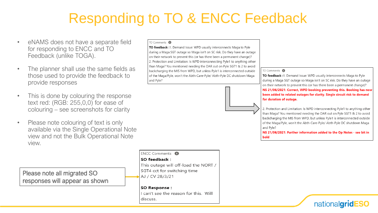#### Responding to TO & ENCC Feedback

- eNAMS does not have a separate field for responding to ENCC and TO Feedback (unlike TOGA).
- The planner shall use the same fields as those used to provide the feedback to provide responses
- This is done by colouring the response text red: (RGB: 255,0,0) for ease of colouring – see screenshots for clarity
- Please note colouring of text is only available via the Single Operational Note view and not the Bulk Operational Note view.

Please note all migrated SO responses will appear as shown

#### TO Comments **O**

TO feedback :1. Demand Issue: WPD usually interconnects Maga to Pyle during a Maga SGT outage so Maga isn't on SC risk. Do they have an outage on their network to prevent this (or has there been a permanent change)? 2. Protection and Limitation: Is WPD interconnecting Pyle1 to anything other than Maga? You mentioned needing the DAR out on Pyle SGT1 & 2 to avoid backcharging the MIS from WPD, but unless Pyle1 is interconnected outside of the Maga/Pyle, won't the Abth-Care-Pyle/ Abth-Pyle DC shutdown Maga and Pyle?



#### TO Comments **O**

TO feedback :1. Demand Issue: WPD usually interconnects Maga to Pyle during a Maga SGT outage so Maga isn't on SC risk. Do they have an outage on their network to prevent this (or has there been a permanent change)? NS 21/06/2021: Correct, WPD booking preventing this. Booking has now been added to related outages for clarity. Single circuit risk to demand for duration of outage.

2. Protection and Limitation: Is WPD interconnecting Pyle1 to anything other than Maga? You mentioned needing the DAR out on Pyle SGT1 & 2 to avoid backcharging the MIS from WPD, but unless Pyle1 is interconnected outside of the Maga/Pyle, won't the Abth-Care-Pyle/ Abth-Pyle DC shutdown Maga and Pyle?

NS 21/06/2021: Further information added to the Op Notes - see bit in bold

nationalgridESO

**FNCC Comments** SO feedback: This outage will off-load the NORT / SGT4 cct for switching time AJ / CV 28/3/21

SO Response: I can't see the reason for this. Will discuss.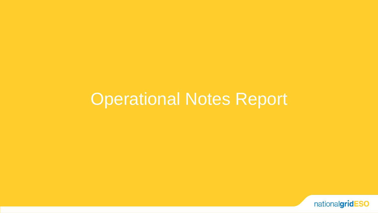#### Operational Notes Report

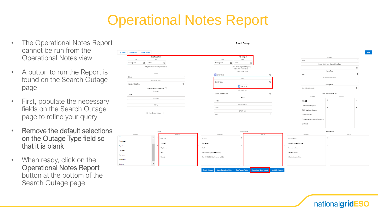#### Operational Notes Report

- The Operational Notes Report cannot be run from the Operational Notes view
- A button to run the Report is found on the Search Outage page
- First, populate the necessary fields on the Search Outage page to refine your query
- Remove the default selections on the Outage Type field so that it is blank

TBA

Not Taken

Withdraw Archived

• When ready, click on the Operational Notes Report button at the bottom of the Search Outage page







**Search Outage** 



Selected